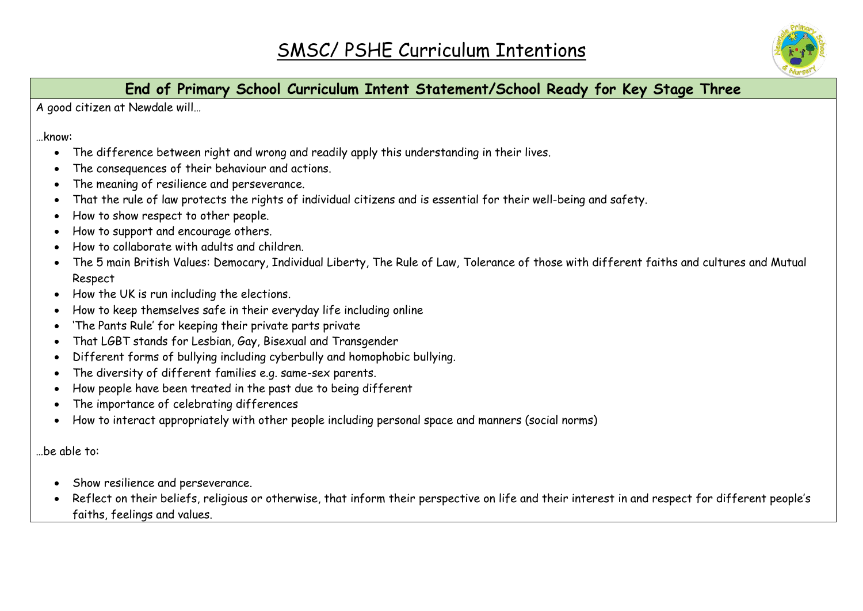

## **End of Primary School Curriculum Intent Statement/School Ready for Key Stage Three**

A good citizen at Newdale will…

…know:

- The difference between right and wrong and readily apply this understanding in their lives.
- The consequences of their behaviour and actions.
- The meaning of resilience and perseverance.
- That the rule of law protects the rights of individual citizens and is essential for their well-being and safety.
- How to show respect to other people.
- How to support and encourage others.
- How to collaborate with adults and children.
- The 5 main British Values: Democary, Individual Liberty, The Rule of Law, Tolerance of those with different faiths and cultures and Mutual Respect
- How the UK is run including the elections.
- How to keep themselves safe in their everyday life including online
- 'The Pants Rule' for keeping their private parts private
- That LGBT stands for Lesbian, Gay, Bisexual and Transgender
- Different forms of bullying including cyberbully and homophobic bullying.
- The diversity of different families e.g. same-sex parents.
- How people have been treated in the past due to being different
- The importance of celebrating differences
- How to interact appropriately with other people including personal space and manners (social norms)

…be able to:

- Show resilience and perseverance.
- Reflect on their beliefs, religious or otherwise, that inform their perspective on life and their interest in and respect for different people's faiths, feelings and values.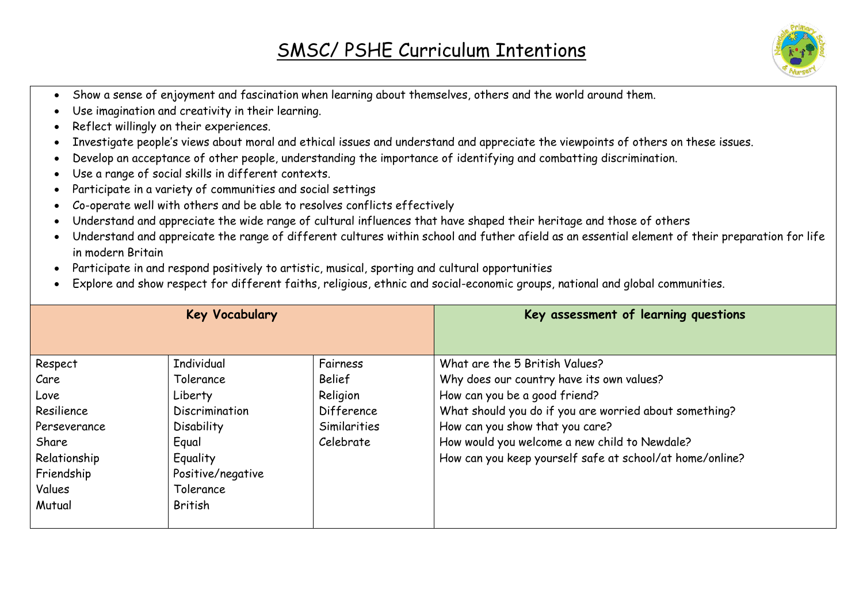## SMSC/ PSHE Curriculum Intentions



- Show a sense of enjoyment and fascination when learning about themselves, others and the world around them.
- Use imagination and creativity in their learning.
- Reflect willingly on their experiences.
- Investigate people's views about moral and ethical issues and understand and appreciate the viewpoints of others on these issues.
- Develop an acceptance of other people, understanding the importance of identifying and combatting discrimination.
- Use a range of social skills in different contexts.
- Participate in a variety of communities and social settings
- Co-operate well with others and be able to resolves conflicts effectively
- Understand and appreciate the wide range of cultural influences that have shaped their heritage and those of others
- Understand and appreicate the range of different cultures within school and futher afield as an essential element of their preparation for life in modern Britain
- Participate in and respond positively to artistic, musical, sporting and cultural opportunities
- Explore and show respect for different faiths, religious, ethnic and social-economic groups, national and global communities.

| <b>Key Vocabulary</b> |                   |               | Key assessment of learning questions                     |
|-----------------------|-------------------|---------------|----------------------------------------------------------|
|                       |                   |               |                                                          |
| Respect               | <b>Individual</b> | Fairness      | What are the 5 British Values?                           |
| Care                  | Tolerance         | <b>Belief</b> | Why does our country have its own values?                |
| Love                  | Liberty           | Religion      | How can you be a good friend?                            |
| Resilience            | Discrimination    | Difference    | What should you do if you are worried about something?   |
| Perseverance          | <b>Disability</b> | Similarities  | How can you show that you care?                          |
| Share                 | Equal             | Celebrate     | How would you welcome a new child to Newdale?            |
| Relationship          | Equality          |               | How can you keep yourself safe at school/at home/online? |
| Friendship            | Positive/negative |               |                                                          |
| Values                | Tolerance         |               |                                                          |
| Mutual                | British           |               |                                                          |
|                       |                   |               |                                                          |